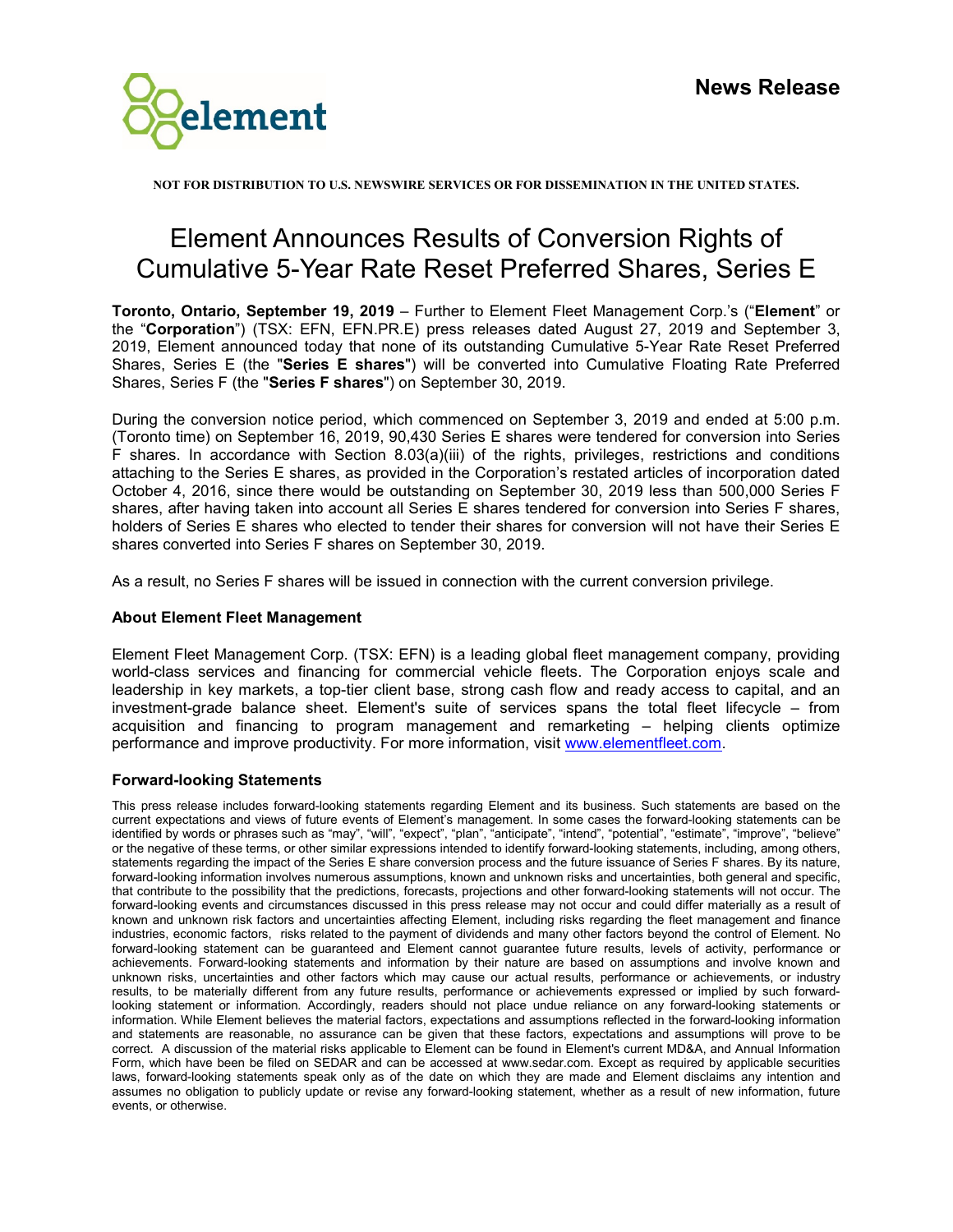

**NOT FOR DISTRIBUTION TO U.S. NEWSWIRE SERVICES OR FOR DISSEMINATION IN THE UNITED STATES.**

## Element Announces Results of Conversion Rights of Cumulative 5-Year Rate Reset Preferred Shares, Series E

**Toronto, Ontario, September 19, 2019** – Further to Element Fleet Management Corp.'s ("**Element**" or the "**Corporation**") (TSX: EFN, EFN.PR.E) press releases dated August 27, 2019 and September 3, 2019, Element announced today that none of its outstanding Cumulative 5-Year Rate Reset Preferred Shares, Series E (the "**Series E shares**") will be converted into Cumulative Floating Rate Preferred Shares, Series F (the "**Series F shares**") on September 30, 2019.

During the conversion notice period, which commenced on September 3, 2019 and ended at 5:00 p.m. (Toronto time) on September 16, 2019, 90,430 Series E shares were tendered for conversion into Series F shares. In accordance with Section 8.03(a)(iii) of the rights, privileges, restrictions and conditions attaching to the Series E shares, as provided in the Corporation's restated articles of incorporation dated October 4, 2016, since there would be outstanding on September 30, 2019 less than 500,000 Series F shares, after having taken into account all Series E shares tendered for conversion into Series F shares, holders of Series E shares who elected to tender their shares for conversion will not have their Series E shares converted into Series F shares on September 30, 2019.

As a result, no Series F shares will be issued in connection with the current conversion privilege.

## **About Element Fleet Management**

Element Fleet Management Corp. (TSX: EFN) is a leading global fleet management company, providing world-class services and financing for commercial vehicle fleets. The Corporation enjoys scale and leadership in key markets, a top-tier client base, strong cash flow and ready access to capital, and an investment-grade balance sheet. Element's suite of services spans the total fleet lifecycle – from acquisition and financing to program management and remarketing – helping clients optimize performance and improve productivity. For more information, visit [www.elementfleet.com.](http://www.elementfleet.com/)

## **Forward-looking Statements**

This press release includes forward-looking statements regarding Element and its business. Such statements are based on the current expectations and views of future events of Element's management. In some cases the forward-looking statements can be identified by words or phrases such as "may", "will", "expect", "plan", "anticipate", "intend", "potential", "estimate", "improve", "believe" or the negative of these terms, or other similar expressions intended to identify forward-looking statements, including, among others, statements regarding the impact of the Series E share conversion process and the future issuance of Series F shares. By its nature, forward-looking information involves numerous assumptions, known and unknown risks and uncertainties, both general and specific, that contribute to the possibility that the predictions, forecasts, projections and other forward-looking statements will not occur. The forward-looking events and circumstances discussed in this press release may not occur and could differ materially as a result of known and unknown risk factors and uncertainties affecting Element, including risks regarding the fleet management and finance industries, economic factors, risks related to the payment of dividends and many other factors beyond the control of Element. No forward-looking statement can be guaranteed and Element cannot guarantee future results, levels of activity, performance or achievements. Forward-looking statements and information by their nature are based on assumptions and involve known and unknown risks, uncertainties and other factors which may cause our actual results, performance or achievements, or industry results, to be materially different from any future results, performance or achievements expressed or implied by such forwardlooking statement or information. Accordingly, readers should not place undue reliance on any forward-looking statements or information. While Element believes the material factors, expectations and assumptions reflected in the forward-looking information and statements are reasonable, no assurance can be given that these factors, expectations and assumptions will prove to be correct. A discussion of the material risks applicable to Element can be found in Element's current MD&A, and Annual Information Form, which have been be filed on SEDAR and can be accessed at www.sedar.com. Except as required by applicable securities laws, forward-looking statements speak only as of the date on which they are made and Element disclaims any intention and assumes no obligation to publicly update or revise any forward-looking statement, whether as a result of new information, future events, or otherwise.